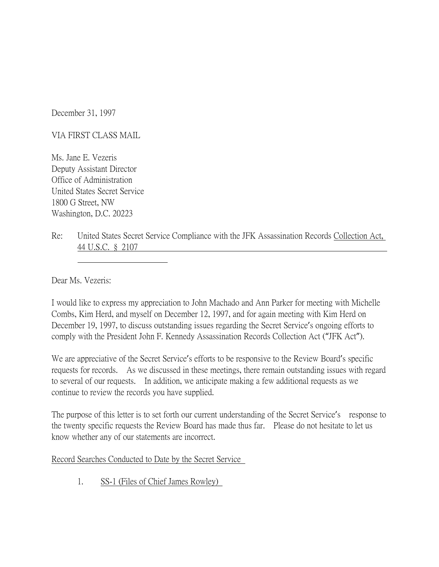December 31, 1997

VIA FIRST CLASS MAIL

Ms. Jane E. Vezeris Deputy Assistant Director Office of Administration United States Secret Service 1800 G Street, NW Washington, D.C. 20223

Re: United States Secret Service Compliance with the JFK Assassination Records Collection Act, 44 U.S.C. § 2107

Dear Ms. Vezeris:

I would like to express my appreciation to John Machado and Ann Parker for meeting with Michelle Combs, Kim Herd, and myself on December 12, 1997, and for again meeting with Kim Herd on December 19, 1997, to discuss outstanding issues regarding the Secret Service's ongoing efforts to comply with the President John F. Kennedy Assassination Records Collection Act ("JFK Act").

We are appreciative of the Secret Service's efforts to be responsive to the Review Board's specific requests for records. As we discussed in these meetings, there remain outstanding issues with regard to several of our requests. In addition, we anticipate making a few additional requests as we continue to review the records you have supplied.

The purpose of this letter is to set forth our current understanding of the Secret Service's response to the twenty specific requests the Review Board has made thus far. Please do not hesitate to let us know whether any of our statements are incorrect.

Record Searches Conducted to Date by the Secret Service

1. SS-1 (Files of Chief James Rowley)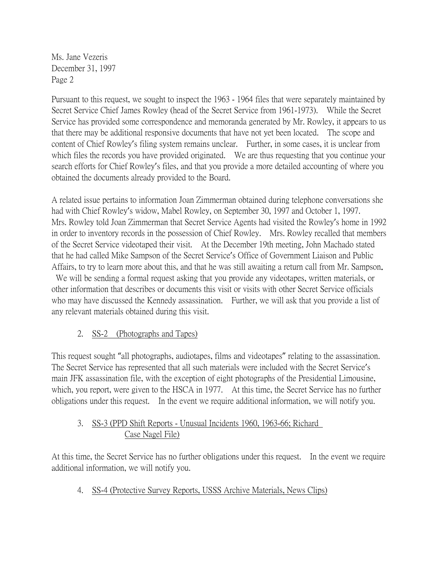Pursuant to this request, we sought to inspect the 1963 - 1964 files that were separately maintained by Secret Service Chief James Rowley (head of the Secret Service from 1961-1973). While the Secret Service has provided some correspondence and memoranda generated by Mr. Rowley, it appears to us that there may be additional responsive documents that have not yet been located. The scope and content of Chief Rowley's filing system remains unclear. Further, in some cases, it is unclear from which files the records you have provided originated. We are thus requesting that you continue your search efforts for Chief Rowley's files, and that you provide a more detailed accounting of where you obtained the documents already provided to the Board.

A related issue pertains to information Joan Zimmerman obtained during telephone conversations she had with Chief Rowley's widow, Mabel Rowley, on September 30, 1997 and October 1, 1997. Mrs. Rowley told Joan Zimmerman that Secret Service Agents had visited the Rowley's home in 1992 in order to inventory records in the possession of Chief Rowley. Mrs. Rowley recalled that members of the Secret Service videotaped their visit. At the December 19th meeting, John Machado stated that he had called Mike Sampson of the Secret Service's Office of Government Liaison and Public Affairs, to try to learn more about this, and that he was still awaiting a return call from Mr. Sampson.

 We will be sending a formal request asking that you provide any videotapes, written materials, or other information that describes or documents this visit or visits with other Secret Service officials who may have discussed the Kennedy assassination. Further, we will ask that you provide a list of any relevant materials obtained during this visit.

## 2. SS-2 (Photographs and Tapes)

This request sought "all photographs, audiotapes, films and videotapes" relating to the assassination. The Secret Service has represented that all such materials were included with the Secret Service's main JFK assassination file, with the exception of eight photographs of the Presidential Limousine, which, you report, were given to the HSCA in 1977. At this time, the Secret Service has no further obligations under this request. In the event we require additional information, we will notify you.

### 3. SS-3 (PPD Shift Reports - Unusual Incidents 1960, 1963-66; Richard Case Nagel File)

At this time, the Secret Service has no further obligations under this request. In the event we require additional information, we will notify you.

4. SS-4 (Protective Survey Reports, USSS Archive Materials, News Clips)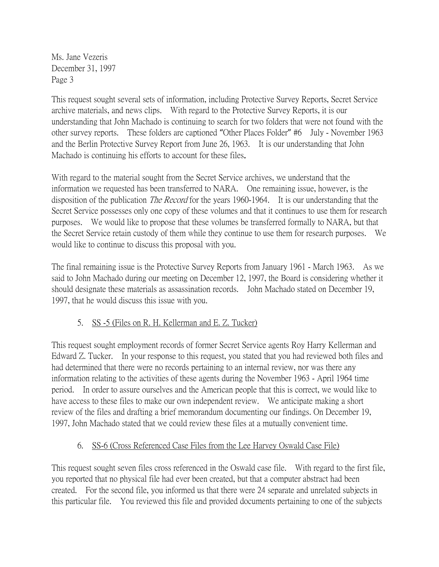This request sought several sets of information, including Protective Survey Reports, Secret Service archive materials, and news clips. With regard to the Protective Survey Reports, it is our understanding that John Machado is continuing to search for two folders that were not found with the other survey reports. These folders are captioned "Other Places Folder" #6 July - November 1963 and the Berlin Protective Survey Report from June 26, 1963. It is our understanding that John Machado is continuing his efforts to account for these files.

With regard to the material sought from the Secret Service archives, we understand that the information we requested has been transferred to NARA. One remaining issue, however, is the disposition of the publication *The Record* for the years 1960-1964. It is our understanding that the Secret Service possesses only one copy of these volumes and that it continues to use them for research purposes. We would like to propose that these volumes be transferred formally to NARA, but that the Secret Service retain custody of them while they continue to use them for research purposes. We would like to continue to discuss this proposal with you.

The final remaining issue is the Protective Survey Reports from January 1961 - March 1963. As we said to John Machado during our meeting on December 12, 1997, the Board is considering whether it should designate these materials as assassination records. John Machado stated on December 19, 1997, that he would discuss this issue with you.

## 5. SS -5 (Files on R. H. Kellerman and E. Z. Tucker)

This request sought employment records of former Secret Service agents Roy Harry Kellerman and Edward Z. Tucker. In your response to this request, you stated that you had reviewed both files and had determined that there were no records pertaining to an internal review, nor was there any information relating to the activities of these agents during the November 1963 - April 1964 time period. In order to assure ourselves and the American people that this is correct, we would like to have access to these files to make our own independent review. We anticipate making a short review of the files and drafting a brief memorandum documenting our findings. On December 19, 1997, John Machado stated that we could review these files at a mutually convenient time.

# 6. SS-6 (Cross Referenced Case Files from the Lee Harvey Oswald Case File)

This request sought seven files cross referenced in the Oswald case file. With regard to the first file, you reported that no physical file had ever been created, but that a computer abstract had been created. For the second file, you informed us that there were 24 separate and unrelated subjects in this particular file. You reviewed this file and provided documents pertaining to one of the subjects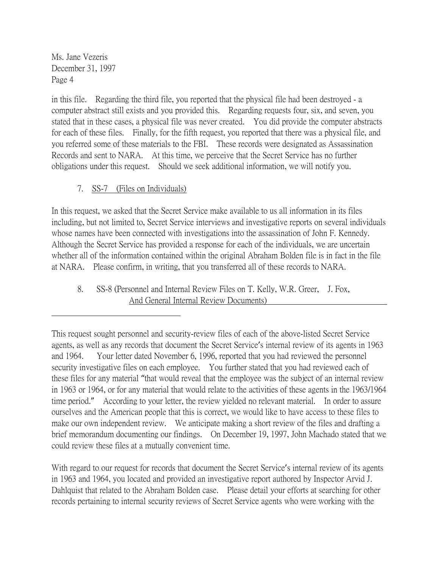in this file. Regarding the third file, you reported that the physical file had been destroyed - a computer abstract still exists and you provided this. Regarding requests four, six, and seven, you stated that in these cases, a physical file was never created. You did provide the computer abstracts for each of these files. Finally, for the fifth request, you reported that there was a physical file, and you referred some of these materials to the FBI. These records were designated as Assassination Records and sent to NARA. At this time, we perceive that the Secret Service has no further obligations under this request. Should we seek additional information, we will notify you.

### 7. SS-7 (Files on Individuals)

In this request, we asked that the Secret Service make available to us all information in its files including, but not limited to, Secret Service interviews and investigative reports on several individuals whose names have been connected with investigations into the assassination of John F. Kennedy. Although the Secret Service has provided a response for each of the individuals, we are uncertain whether all of the information contained within the original Abraham Bolden file is in fact in the file at NARA. Please confirm, in writing, that you transferred all of these records to NARA.

8. SS-8 (Personnel and Internal Review Files on T. Kelly, W.R. Greer, J. Fox, And General Internal Review Documents)

With regard to our request for records that document the Secret Service's internal review of its agents in 1963 and 1964, you located and provided an investigative report authored by Inspector Arvid J. Dahlquist that related to the Abraham Bolden case. Please detail your efforts at searching for other records pertaining to internal security reviews of Secret Service agents who were working with the

This request sought personnel and security-review files of each of the above-listed Secret Service agents, as well as any records that document the Secret Service's internal review of its agents in 1963 and 1964. Your letter dated November 6, 1996, reported that you had reviewed the personnel security investigative files on each employee. You further stated that you had reviewed each of these files for any material "that would reveal that the employee was the subject of an internal review in 1963 or 1964, or for any material that would relate to the activities of these agents in the 1963/1964 time period." According to your letter, the review yielded no relevant material. In order to assure ourselves and the American people that this is correct, we would like to have access to these files to make our own independent review. We anticipate making a short review of the files and drafting a brief memorandum documenting our findings. On December 19, 1997, John Machado stated that we could review these files at a mutually convenient time.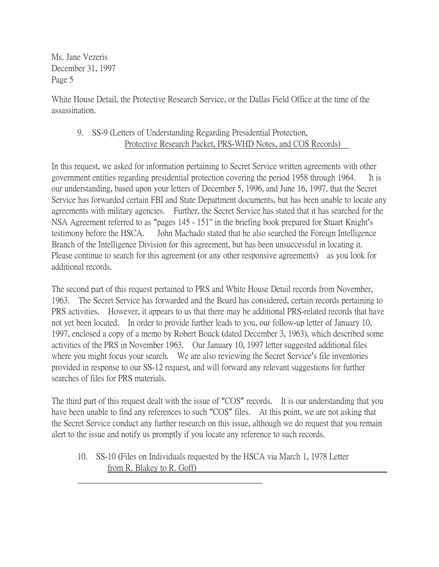White House Detail, the Protective Research Service, or the Dallas Field Office at the time of the assassination.

9. SS-9 (Letters of Understanding Regarding Presidential Protection, Protective Research Packet, PRS-WHD Notes, and COS Records)

In this request, we asked for information pertaining to Secret Service written agreements with other government entities regarding presidential protection covering the period 1958 through 1964. It is our understanding, based upon your letters of December 5, 1996, and June 16, 1997, that the Secret Service has forwarded certain FBI and State Department documents, but has been unable to locate any agreements with military agencies. Further, the Secret Service has stated that it has searched for the NSA Agreement referred to as "pages 145 - 151" in the briefing book prepared for Stuart Knight's testimony before the HSCA. John Machado stated that he also searched the Foreign Intelligence Branch of the Intelligence Division for this agreement, but has been unsuccessful in locating it. Please continue to search for this agreement (or any other responsive agreements) as you look for additional records.

The second part of this request pertained to PRS and White House Detail records from November, 1963. The Secret Service has forwarded and the Board has considered, certain records pertaining to PRS activities. However, it appears to us that there may be additional PRS-related records that have not yet been located. In order to provide further leads to you, our follow-up letter of January 10, 1997, enclosed a copy of a memo by Robert Bouck (dated December 3, 1963), which described some activities of the PRS in November 1963. Our January 10, 1997 letter suggested additional files where you might focus your search. We are also reviewing the Secret Service's file inventories provided in response to our SS-12 request, and will forward any relevant suggestions for further searches of files for PRS materials.

The third part of this request dealt with the issue of "COS" records. It is our understanding that you have been unable to find any references to such "COS" files. At this point, we are not asking that the Secret Service conduct any further research on this issue, although we do request that you remain alert to the issue and notify us promptly if you locate any reference to such records.

10. SS-10 (Files on Individuals requested by the HSCA via March 1, 1978 Letter from R. Blakey to R. Goff)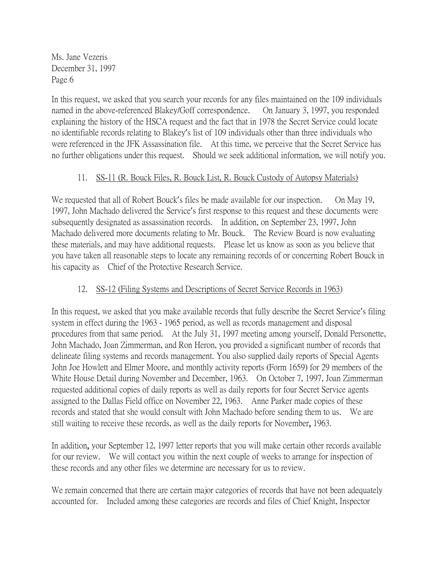In this request, we asked that you search your records for any files maintained on the 109 individuals named in the above-referenced Blakey/Goff correspondence. On January 3, 1997, you responded explaining the history of the HSCA request and the fact that in 1978 the Secret Service could locate no identifiable records relating to Blakey's list of 109 individuals other than three individuals who were referenced in the JFK Assassination file. At this time, we perceive that the Secret Service has no further obligations under this request. Should we seek additional information, we will notify you.

### 11. SS-11 (R. Bouck Files, R. Bouck List, R. Bouck Custody of Autopsy Materials)

We requested that all of Robert Bouck's files be made available for our inspection. On May 19, 1997, John Machado delivered the Service's first response to this request and these documents were subsequently designated as assassination records. In addition, on September 23, 1997, John Machado delivered more documents relating to Mr. Bouck. The Review Board is now evaluating these materials, and may have additional requests. Please let us know as soon as you believe that you have taken all reasonable steps to locate any remaining records of or concerning Robert Bouck in his capacity as Chief of the Protective Research Service.

#### 12. SS-12 (Filing Systems and Descriptions of Secret Service Records in 1963)

In this request, we asked that you make available records that fully describe the Secret Service's filing system in effect during the 1963 - 1965 period, as well as records management and disposal procedures from that same period. At the July 31, 1997 meeting among yourself, Donald Personette, John Machado, Joan Zimmerman, and Ron Heron, you provided a significant number of records that delineate filing systems and records management. You also supplied daily reports of Special Agents John Joe Howlett and Elmer Moore, and monthly activity reports (Form 1659) for 29 members of the White House Detail during November and December, 1963. On October 7, 1997, Joan Zimmerman requested additional copies of daily reports as well as daily reports for four Secret Service agents assigned to the Dallas Field office on November 22, 1963. Anne Parker made copies of these records and stated that she would consult with John Machado before sending them to us. We are still waiting to receive these records, as well as the daily reports for November, 1963.

In addition, your September 12, 1997 letter reports that you will make certain other records available for our review. We will contact you within the next couple of weeks to arrange for inspection of these records and any other files we determine are necessary for us to review.

We remain concerned that there are certain major categories of records that have not been adequately accounted for. Included among these categories are records and files of Chief Knight, Inspector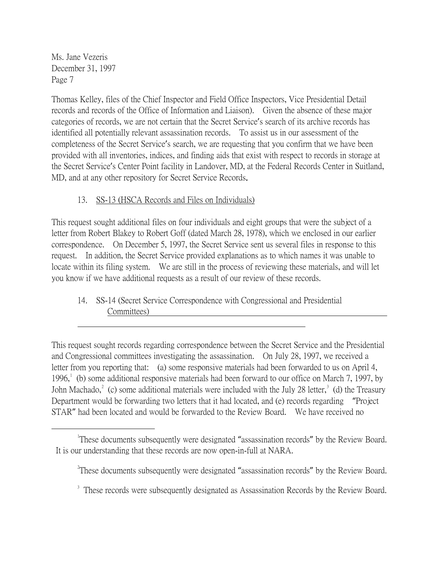Thomas Kelley, files of the Chief Inspector and Field Office Inspectors, Vice Presidential Detail records and records of the Office of Information and Liaison). Given the absence of these major categories of records, we are not certain that the Secret Service's search of its archive records has identified all potentially relevant assassination records. To assist us in our assessment of the completeness of the Secret Service's search, we are requesting that you confirm that we have been provided with all inventories, indices, and finding aids that exist with respect to records in storage at the Secret Service's Center Point facility in Landover, MD, at the Federal Records Center in Suitland, MD, and at any other repository for Secret Service Records.

# 13. SS-13 (HSCA Records and Files on Individuals)

This request sought additional files on four individuals and eight groups that were the subject of a letter from Robert Blakey to Robert Goff (dated March 28, 1978), which we enclosed in our earlier correspondence. On December 5, 1997, the Secret Service sent us several files in response to this request. In addition, the Secret Service provided explanations as to which names it was unable to locate within its filing system. We are still in the process of reviewing these materials, and will let you know if we have additional requests as a result of our review of these records.

# 14. SS-14 (Secret Service Correspondence with Congressional and Presidential Committees)

This request sought records regarding correspondence between the Secret Service and the Presidential and Congressional committees investigating the assassination. On July 28, 1997, we received a letter from you reporting that: (a) some responsive materials had been forwarded to us on April 4, [1](#page-6-0)996,<sup>1</sup> (b) some additional responsive materials had been forward to our office on March 7, 1997, by John Machado,<sup>[2](#page-6-1)</sup> (c) some additional materials were included with the July 28 letter,<sup>[3](#page-6-2)</sup> (d) the Treasury Department would be forwarding two letters that it had located, and (e) records regarding "Project STAR" had been located and would be forwarded to the Review Board. We have received no

<span id="page-6-1"></span><span id="page-6-0"></span><sup>&</sup>lt;u>1</u> These documents subsequently were designated "assassination records" by the Review Board. It is our understanding that these records are now open-in-full at NARA.

<sup>&</sup>lt;sup>2</sup>These documents subsequently were designated "assassination records" by the Review Board.

<span id="page-6-2"></span><sup>&</sup>lt;sup>3</sup> These records were subsequently designated as Assassination Records by the Review Board.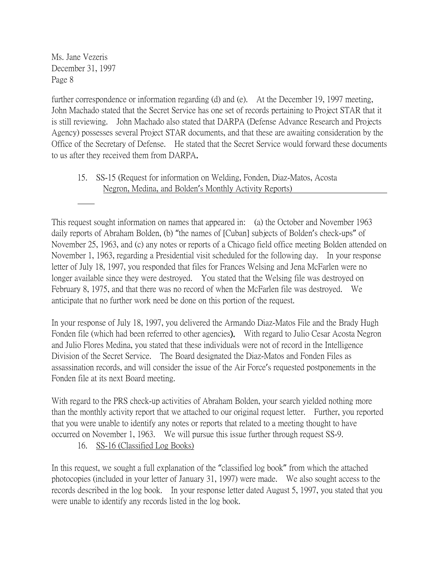further correspondence or information regarding (d) and (e). At the December 19, 1997 meeting, John Machado stated that the Secret Service has one set of records pertaining to Project STAR that it is still reviewing. John Machado also stated that DARPA (Defense Advance Research and Projects Agency) possesses several Project STAR documents, and that these are awaiting consideration by the Office of the Secretary of Defense. He stated that the Secret Service would forward these documents to us after they received them from DARPA.

15. SS-15 (Request for information on Welding, Fonden, Diaz-Matos, Acosta Negron, Medina, and Bolden's Monthly Activity Reports)

This request sought information on names that appeared in: (a) the October and November 1963 daily reports of Abraham Bolden, (b) "the names of [Cuban] subjects of Bolden's check-ups" of November 25, 1963, and (c) any notes or reports of a Chicago field office meeting Bolden attended on November 1, 1963, regarding a Presidential visit scheduled for the following day. In your response letter of July 18, 1997, you responded that files for Frances Welsing and Jena McFarlen were no longer available since they were destroyed. You stated that the Welsing file was destroyed on February 8, 1975, and that there was no record of when the McFarlen file was destroyed. We anticipate that no further work need be done on this portion of the request.

In your response of July 18, 1997, you delivered the Armando Diaz-Matos File and the Brady Hugh Fonden file (which had been referred to other agencies). With regard to Julio Cesar Acosta Negron and Julio Flores Medina, you stated that these individuals were not of record in the Intelligence Division of the Secret Service. The Board designated the Diaz-Matos and Fonden Files as assassination records, and will consider the issue of the Air Force's requested postponements in the Fonden file at its next Board meeting.

With regard to the PRS check-up activities of Abraham Bolden, your search yielded nothing more than the monthly activity report that we attached to our original request letter. Further, you reported that you were unable to identify any notes or reports that related to a meeting thought to have occurred on November 1, 1963. We will pursue this issue further through request SS-9.

16. SS-16 (Classified Log Books)

In this request, we sought a full explanation of the "classified log book" from which the attached photocopies (included in your letter of January 31, 1997) were made. We also sought access to the records described in the log book. In your response letter dated August 5, 1997, you stated that you were unable to identify any records listed in the log book.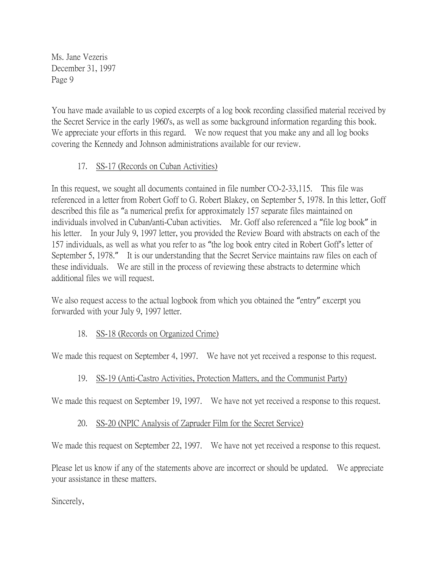You have made available to us copied excerpts of a log book recording classified material received by the Secret Service in the early 1960's, as well as some background information regarding this book. We appreciate your efforts in this regard. We now request that you make any and all log books covering the Kennedy and Johnson administrations available for our review.

### 17. SS-17 (Records on Cuban Activities)

In this request, we sought all documents contained in file number CO-2-33,115. This file was referenced in a letter from Robert Goff to G. Robert Blakey, on September 5, 1978. In this letter, Goff described this file as "a numerical prefix for approximately 157 separate files maintained on individuals involved in Cuban/anti-Cuban activities. Mr. Goff also referenced a "file log book" in his letter. In your July 9, 1997 letter, you provided the Review Board with abstracts on each of the 157 individuals, as well as what you refer to as "the log book entry cited in Robert Goff's letter of September 5, 1978." It is our understanding that the Secret Service maintains raw files on each of these individuals. We are still in the process of reviewing these abstracts to determine which additional files we will request.

We also request access to the actual logbook from which you obtained the "entry" excerpt you forwarded with your July 9, 1997 letter.

## 18. SS-18 (Records on Organized Crime)

We made this request on September 4, 1997. We have not yet received a response to this request.

#### 19. SS-19 (Anti-Castro Activities, Protection Matters, and the Communist Party)

We made this request on September 19, 1997. We have not yet received a response to this request.

#### 20. SS-20 (NPIC Analysis of Zapruder Film for the Secret Service)

We made this request on September 22, 1997. We have not yet received a response to this request.

Please let us know if any of the statements above are incorrect or should be updated. We appreciate your assistance in these matters.

Sincerely,